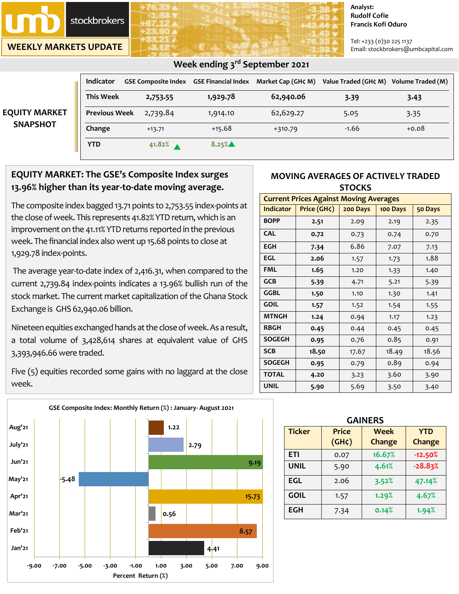

**WEEKLY MARKETS UPDATE**

#### **Analyst: Rudolf Cofie Francis Kofi Oduro**

Tel: +233 (0)30 225 1137 Email: stockbrokers@umbcapital.com

| Week ending 3rd September 2021          |                      |                    |          |                                                            |                                        |         |  |
|-----------------------------------------|----------------------|--------------------|----------|------------------------------------------------------------|----------------------------------------|---------|--|
| <b>EQUITY MARKET</b><br><b>SNAPSHOT</b> | <b>Indicator</b>     |                    |          | GSE Composite Index GSE Financial Index Market Cap (GH¢ M) | Value Traded (GH¢ M) Volume Traded (M) |         |  |
|                                         | <b>This Week</b>     | 2,753.55           | 1,929.78 | 62,940.06                                                  | 3.39                                   | 3.43    |  |
|                                         | <b>Previous Week</b> | 2,739.84           | 1,914.10 | 62,629.27                                                  | 5.05                                   | 3.35    |  |
|                                         | Change               | $+13.71$           | $+15.68$ | $+310.79$                                                  | $-1.66$                                | $+0.08$ |  |
|                                         | <b>YTD</b>           | 41.82% $\triangle$ | 8.25%▲   |                                                            |                                        |         |  |

# **EQUITY MARKET: The GSE's Composite Index surges**

**13.96% higher than its year-to-date moving average.**

The composite index bagged 13.71 points to 2,753.55 index-points at the close of week. This represents 41.82% YTD return, which is an improvement on the 41.11% YTD returns reported in the previous week. The financial index also went up 15.68 points to close at 1,929.78 index-points.

The average year-to-date index of 2,416.31, when compared to the current 2,739.84 index-points indicates a 13.96% bullish run of the stock market. The current market capitalization of the Ghana Stock Exchange is GHS 62,940.06 billion.

Nineteen equities exchanged hands at the close of week. As a result, a total volume of 3,428,614 shares at equivalent value of GHS 3,393,946.66were traded.

Five (5) equities recorded some gains with no laggard at the close week.



## **MOVING AVERAGES OF ACTIVELY TRADED STOCKS**

| <b>Current Prices Against Moving Averages</b> |             |          |          |         |  |  |
|-----------------------------------------------|-------------|----------|----------|---------|--|--|
| <b>Indicator</b>                              | Price (GH¢) | 200 Days | 100 Days | 50 Days |  |  |
| <b>BOPP</b>                                   | 2.51        | 2.09     | 2.19     | 2.35    |  |  |
| <b>CAL</b>                                    | 0.72        | 0.73     | 0.74     | 0.70    |  |  |
| <b>EGH</b>                                    | 7.34        | 6.86     | 7.07     | 7.13    |  |  |
| EGL                                           | 2.06        | 1.57     | 1.73     | 1.88    |  |  |
| <b>FML</b>                                    | 1.65        | 1.20     | 1.33     | 1.40    |  |  |
| <b>GCB</b>                                    | 5.39        | 4.71     | 5.21     | 5.39    |  |  |
| GGBL                                          | 1.50        | 1.10     | 1.30     | 1.41    |  |  |
| <b>GOIL</b>                                   | 1.57        | 1.52     | 1.54     | 1.55    |  |  |
| <b>MTNGH</b>                                  | 1.24        | 0.94     | 1.17     | 1.23    |  |  |
| <b>RBGH</b>                                   | 0.45        | 0.44     | 0.45     | 0.45    |  |  |
| <b>SOGEGH</b>                                 | 0.95        | 0.76     | 0.85     | 0.91    |  |  |
| <b>SCB</b>                                    | 18.50       | 17.67    | 18.49    | 18.56   |  |  |
| <b>SOGEGH</b>                                 | 0.95        | 0.79     | 0.89     | 0.94    |  |  |
| <b>TOTAL</b>                                  | 4.20        | 3.23     | 3.60     | 3.90    |  |  |
| <b>UNIL</b>                                   | 5.90        | 5.69     | 3.50     | 3.40    |  |  |

| <b>GAINERS</b> |                             |                       |                      |  |  |  |
|----------------|-----------------------------|-----------------------|----------------------|--|--|--|
| <b>Ticker</b>  | <b>Price</b><br>$(GH\zeta)$ | <b>Week</b><br>Change | <b>YTD</b><br>Change |  |  |  |
| <b>ETI</b>     | 0.07                        | 16.67%                | $-12.50%$            |  |  |  |
| <b>UNIL</b>    | 5.90                        | 4.61%                 | $-28.83%$            |  |  |  |
| <b>EGL</b>     | 2.06                        | 3.52%                 | 47.14%               |  |  |  |
| <b>GOIL</b>    | 1.57                        | 1.29%                 | 4.67%                |  |  |  |
| <b>EGH</b>     | 7.34                        | 0.14%                 | 1.94%                |  |  |  |